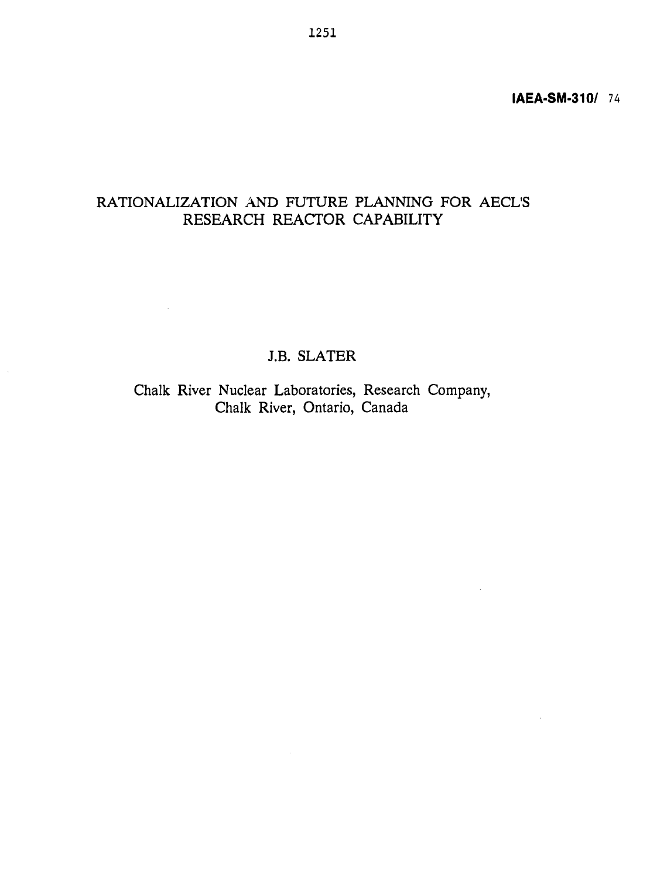# RATIONALIZATION AND FUTURE PLANNING FOR AECL'S RESEARCH REACTOR CAPABILITY

# J.B. SLATER

 $\mathcal{L}^{\text{max}}$ 

Chalk River Nuclear Laboratories, Research Company, Chalk River, Ontario, Canada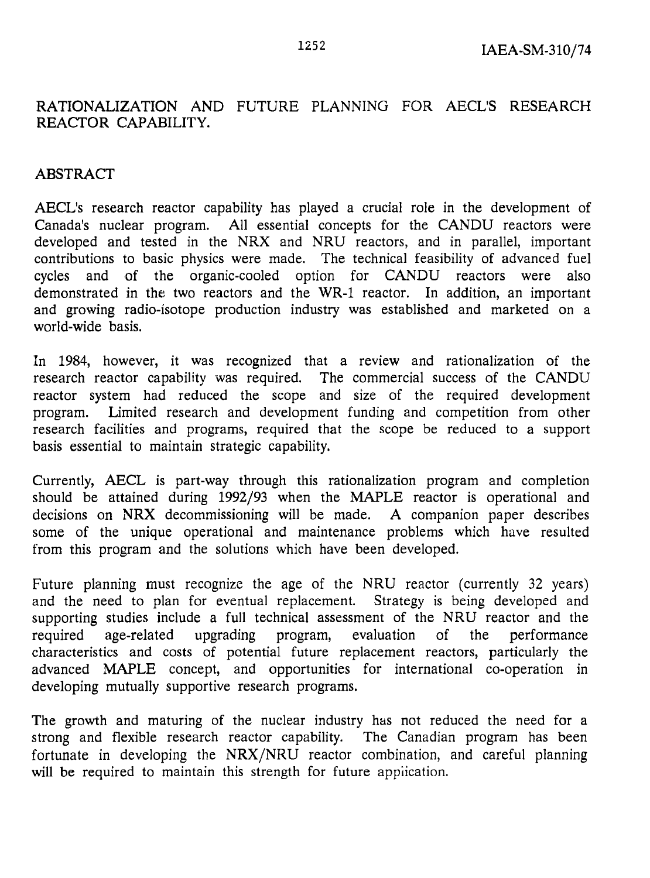# **RATIONALIZATION** AND FUTURE PLANNING FOR AECL'S RESEARCH REACTOR CAPABILITY.

# ABSTRACT

AECL's research reactor capability has played a crucial role in the development of Canada's nuclear program. All essential concepts for the CANDU reactors were developed and tested in the NRX and NRU reactors, and in parallel, important contributions to basic physics were made. The technical feasibility of advanced fuel cycles and of the organic-cooled option for CANDU reactors were also demonstrated in the two reactors and the WR-1 reactor. In addition, an important and growing radio-isotope production industry was established and marketed on a world-wide basis.

In 1984, however, it was recognized that a review and rationalization of the research reactor capability was required. The commercial success of the CANDU reactor system had reduced the scope and size of the required development program. Limited research and development funding and competition from other research facilities and programs, required that the scope be reduced to a support basis essential to maintain strategic capability.

Currently, AECL is part-way through this rationalization program and completion should be attained during 1992/93 when the MAPLE reactor is operational and decisions on **NRX** decommissioning will be made. A companion paper describes some of the unique operational and maintenance problems which have resulted from this program and the solutions which have been developed.

Future planning must recognize the age of the NRU reactor (currently 32 years) and the need to plan for eventual replacement. Strategy is being developed and supporting studies include a full technical assessment of the NRU reactor and the required age-related upgrading program, evaluation of the performance characteristics and costs of potential future replacement reactors, particularly the advanced MAPLE concept, and opportunities for international co-operation in developing mutually supportive research programs.

The growth and maturing of the nuclear industry has not reduced the need for a strong and flexible research reactor capability. The Canadian program has been fortunate in developing the NRX/NRU reactor combination, and careful planning will be required to maintain this strength for future application.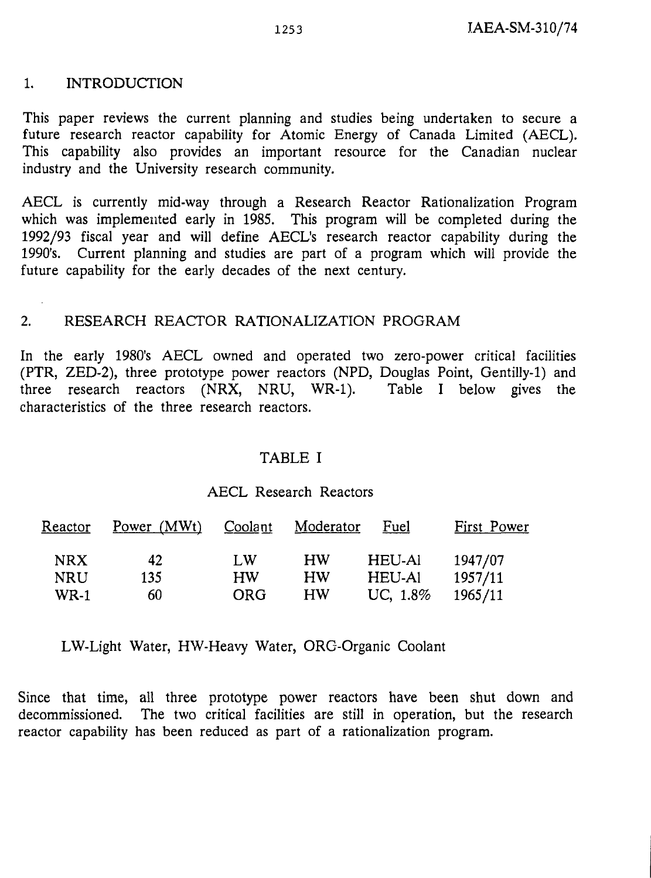#### 1. INTRODUCTION

This paper reviews the current planning and studies being undertaken to secure a future research reactor capability for Atomic Energy of Canada Limited (AECL). This capability also provides an important resource for the Canadian nuclear industry and the University research community.

AECL is currently mid-way through a Research Reactor Rationalization Program which was implemented early in 1985. This program will be completed during the 1992/93 fiscal year and will define AECL's research reactor capability during the 1990's. Current planning and studies are part of a program which will provide the future capability for the early decades of the next century.

#### 2. RESEARCH REACTOR RATIONALIZATION PROGRAM

In the early 1980's AECL owned and operated two zero-power critical facilities (PTR, ZED-2), three prototype power reactors (NPD, Douglas Point, Gentilly-1) and three research reactors (NRX, NRU, WR-1). Table I below gives the characteristics of the three research reactors.

#### TABLE I

#### AECL Research Reactors

| Reactor     | Power $(MWt)$ | Coolant    | Moderator | Fuel     | First Power |
|-------------|---------------|------------|-----------|----------|-------------|
| <b>NRX</b>  | 42            | $L$ W      | HW        | HEU-Al   | 1947/07     |
| <b>NRU</b>  | 135           | <b>HW</b>  | HW        | HEU-Al   | 1957/11     |
| <b>WR-1</b> | 60            | <b>ORG</b> | НW        | UC, 1.8% | 1965/11     |

LW-Light Water, HW-Heavy Water, ORG-Organic Coolant

Since that time, all three prototype power reactors have been shut down and decommissioned. The two critical facilities are still in operation, but the research reactor capability has been reduced as part of a rationalization program.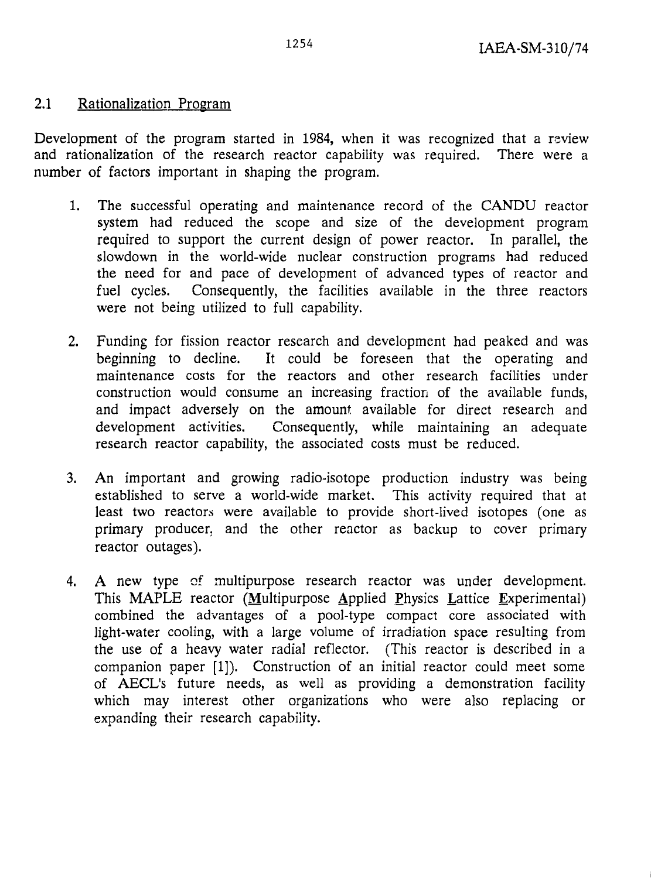# 2.1 Rationalization Program

Development of the program started in 1984, when it was recognized that a review and rationalization of the research reactor capability was required. There were a number of factors important in shaping the program.

- 1. The successful operating and maintenance record of the CANDU reactor system had reduced the scope and size of the development program required to support the current design of power reactor. In parallel, the slowdown in the world-wide nuclear construction programs had reduced the need for and pace of development of advanced types of reactor and fuel cycles. Consequently, the facilities available in the three reactors were not being utilized to full capability.
- 2. Funding for fission reactor research and development had peaked and was beginning to decline. It could be foreseen that the operating and maintenance costs for the reactors and other research facilities under construction would consume an increasing fraction of the available funds, and impact adversely on the amount available for direct research and development activities. Consequently, while maintaining an adequate research reactor capability, the associated costs must be reduced.
- 3. An important and growing radio-isotope production industry was being established to serve a world-wide market. This activity required that at least two reactors were available to provide short-lived isotopes (one as primary producer, and the other reactor as backup to cover primary reactor outages).
- 4. A new type cf multipurpose research reactor was under development. This MAPLE reactor (Multipurpose Applied Physics Lattice Experimental) combined the advantages of a pool-type compact core associated with light-water cooling, with a large volume of irradiation space resulting from the use of a heavy water radial reflector. (This reactor is described in a companion paper [1]). Construction of an initial reactor could meet some of AECL's future needs, as well as providing a demonstration facility which may interest other organizations who were also replacing or expanding their research capability.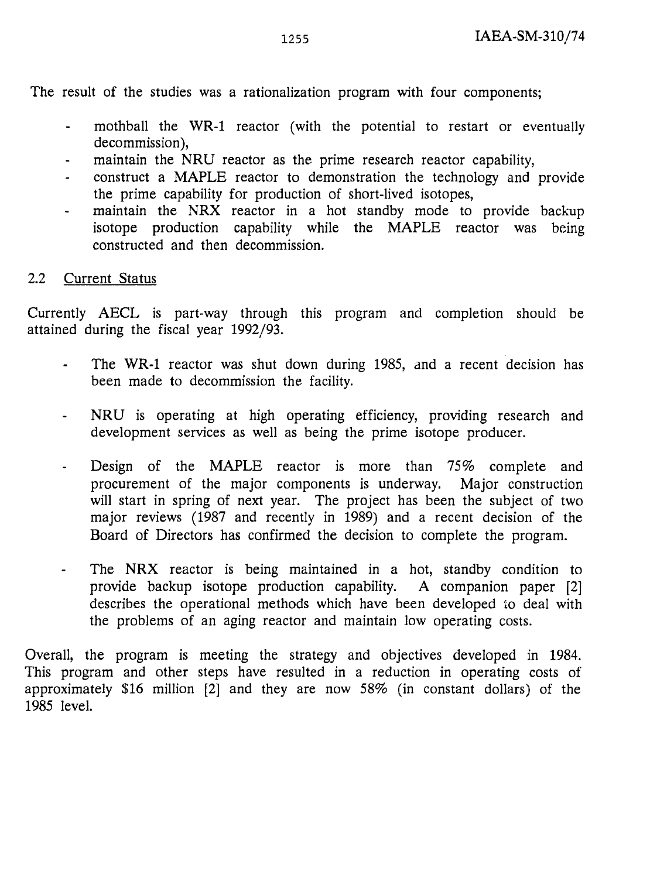The result of the studies was a rationalization program with four components;

- mothball the WR-1 reactor (with the potential to restart or eventually  $\mathbf{L}^{\text{max}}$ decommission),
- maintain the NRU reactor as the prime research reactor capability,  $\blacksquare$
- construct a MAPLE reactor to demonstration the technology and provide  $\overline{\phantom{a}}$ the prime capability for production of short-lived isotopes,
- maintain the NRX reactor in a hot standby mode to provide backup isotope production capability while the MAPLE reactor was being constructed and then decommission.

## 2.2 Current Status

Currently AECL is part-way through this program and completion should be attained during the fiscal year 1992/93.

- The WR-1 reactor was shut down during 1985, and a recent decision has been made to decommission the facility.
- NRU is operating at high operating efficiency, providing research and  $\frac{1}{2}$ development services as well as being the prime isotope producer.
- Design of the MAPLE reactor is more than 75% complete and procurement of the major components is underway. Major construction will start in spring of next year. The project has been the subject of two major reviews (1987 and recently in 1989) and a recent decision of the Board of Directors has confirmed the decision to complete the program.
- The NRX reactor is being maintained in a hot, standby condition to  $\omega_{\rm{max}}$ provide backup isotope production capability. A companion paper [2] describes the operational methods which have been developed to deal with the problems of an aging reactor and maintain low operating costs.

Overall, the program is meeting the strategy and objectives developed in 1984. This program and other steps have resulted in a reduction in operating costs of approximately \$16 million [2] and they are now 58% (in constant dollars) of the 1985 level.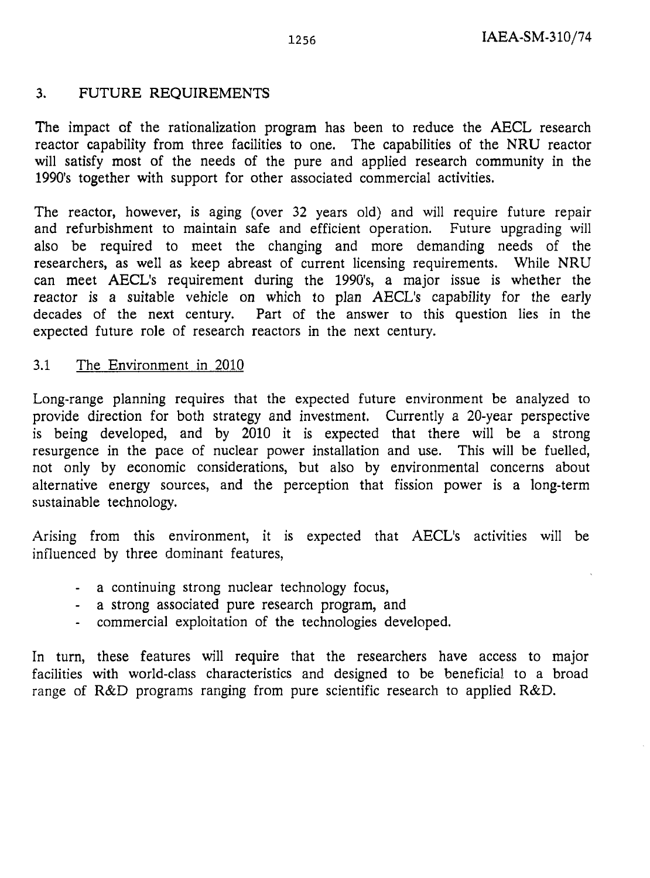#### 3. FUTURE REQUIREMENTS

The impact of the rationalization program has been to reduce the AECL research reactor capability from three facilities to one. The capabilities of the NRU reactor will satisfy most of the needs of the pure and applied research community in the 1990's together with support for other associated commercial activities.

The reactor, however, is aging (over 32 years old) and will require future repair and refurbishment to maintain safe and efficient operation. Future upgrading will also be required to meet the changing and more demanding needs of the researchers, as well as keep abreast of current licensing requirements. While NRU can meet AECL's requirement during the 1990's, a major issue is whether the reactor is a suitable vehicle on which to plan AECL's capability for the early decades of the next century. Part of the answer to this question lies in the expected future role of research reactors in the next century.

#### 3.1 The Environment in 2010

Long-range planning requires that the expected future environment be analyzed to provide direction for both strategy and investment. Currently a 20-year perspective is being developed, and by 2010 it is expected that there will be a strong resurgence in the pace of nuclear power installation and use. This will be fuelled, not only by economic considerations, but also by environmental concerns about alternative energy sources, and the perception that fission power is a long-term sustainable technology.

Arising from this environment, it is expected that AECL's activities will be influenced by three dominant features,

- a continuing strong nuclear technology focus,
- a strong associated pure research program, and
- commercial exploitation of the technologies developed.

In turn, these features will require that the researchers have access to major facilities with world-class characteristics and designed to be beneficial to a broad range of R&D programs ranging from pure scientific research to applied R&D.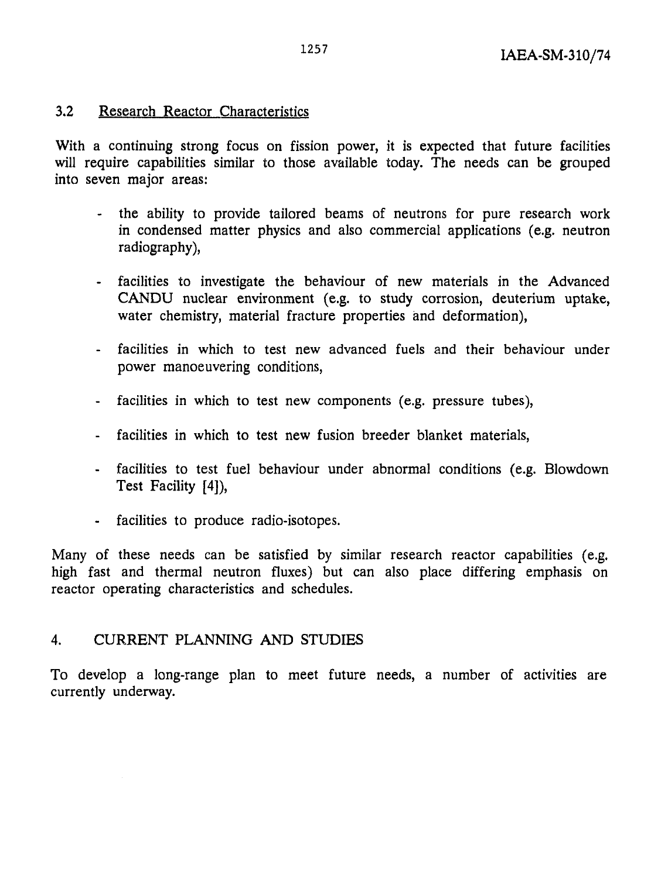# 3.2 Research Reactor Characteristics

With a continuing strong focus on fission power, it is expected that future facilities will require capabilities similar to those available today. The needs can be grouped into seven major areas:

- the ability to provide tailored beams of neutrons for pure research work in condensed matter physics and also commercial applications (e.g. neutron radiography),
- facilities to investigate the behaviour of new materials in the Advanced CANDU nuclear environment (e.g. to study corrosion, deuterium uptake, water chemistry, material fracture properties and deformation),
- facilities in which to test new advanced fuels and their behaviour under power manoeuvering conditions,
- facilities in which to test new components (e.g. pressure tubes),
- facilities in which to test new fusion breeder blanket materials,
- facilities to test fuel behaviour under abnormal conditions (e.g. Blowdown Test Facility [4]),
- facilities to produce radio-isotopes.

Many of these needs can be satisfied by similar research reactor capabilities (e.g. high fast and thermal neutron fluxes) but can also place differing emphasis on reactor operating characteristics and schedules.

# 4. CURRENT PLANNING AND STUDIES

To develop a long-range plan to meet future needs, a number of activities are currently underway.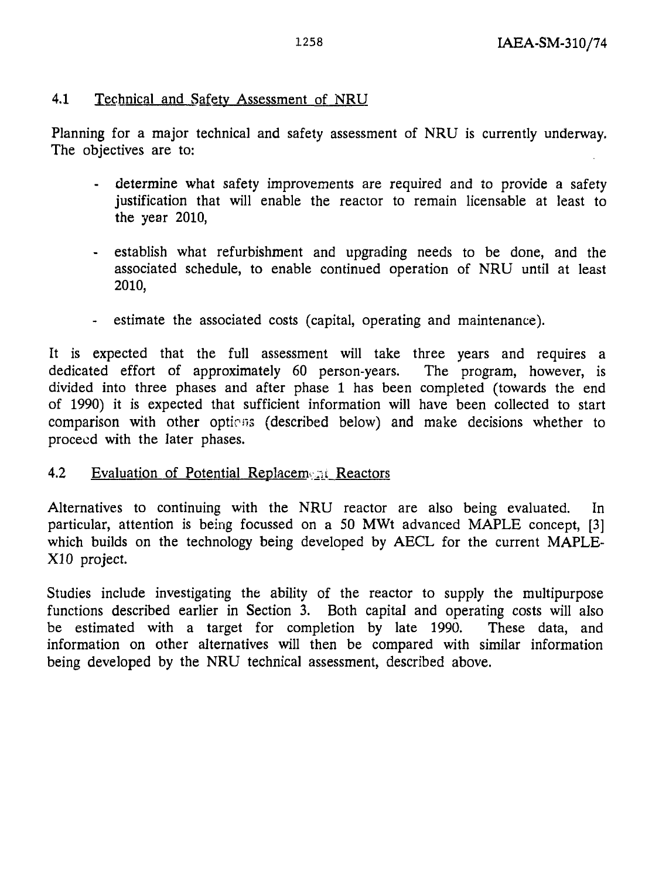#### 4.1 Technical and Safety Assessment of NRU

Planning for a major technical and safety assessment of NRU is currently underway. The objectives are to:

- determine what safety improvements are required and to provide a safety justification that will enable the reactor to remain licensable at least to the year 2010,
- establish what refurbishment and upgrading needs to be done, and the associated schedule, to enable continued operation of NRU until at least 2010,
- estimate the associated costs (capital, operating and maintenance).

It is expected that the full assessment will take three years and requires a dedicated effort of approximately 60 person-years. The program, however, is divided into three phases and after phase 1 has been completed (towards the end of 1990) it is expected that sufficient information will have been collected to start comparison with other options (described below) and make decisions whether to proceed with the later phases.

#### 4.2 Evaluation of Potential Replacement Reactors

Alternatives to continuing with the NRU reactor are also being evaluated. In particular, attention is being focussed on a 50 MWt advanced MAPLE concept, [3] which builds on the technology being developed by AECL for the current MAPLE-XI0 project.

Studies include investigating the ability of the reactor to supply the multipurpose functions described earlier in Section 3. Both capital and operating costs will also be estimated with a target for completion by late 1990. These data, and information on other alternatives will then be compared with similar information being developed by the NRU technical assessment, described above.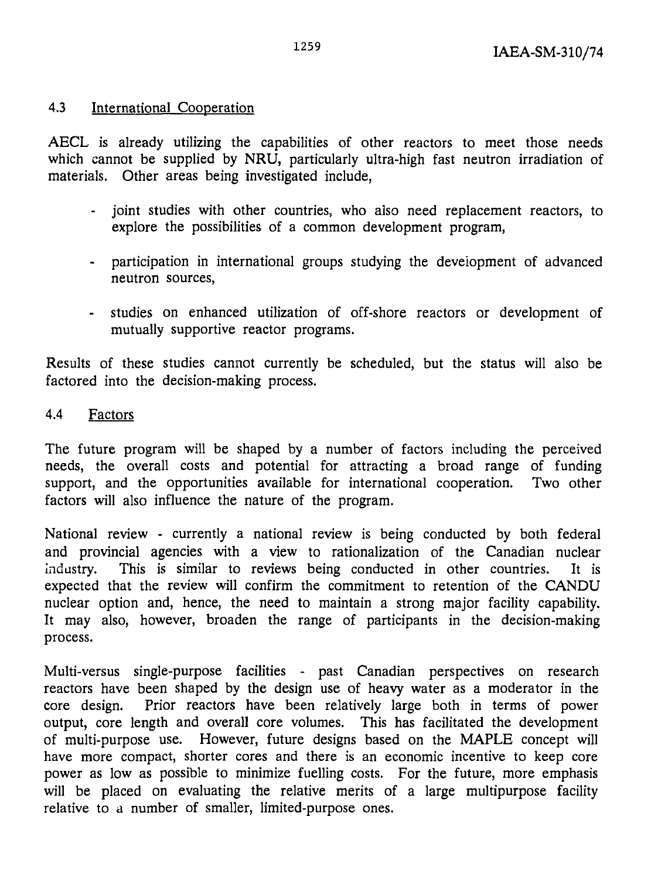# 4.3 International Cooperation

AECL is already utilizing the capabilities of other reactors to meet those needs which cannot be supplied by NRU, particularly ultra-high fast neutron irradiation of materials. Other areas being investigated include,

- joint studies with other countries, who also need replacement reactors, to explore the possibilities of a common development program,
- participation in international groups studying the development of advanced neutron sources,
- studies on enhanced utilization of off-shore reactors or development of mutually supportive reactor programs.

Results of these studies cannot currently be scheduled, but the status will also be factored into the decision-making process.

## 4.4 Factors

The future program will be shaped by a number of factors including the perceived needs, the overall costs and potential for attracting a broad range of funding support, and the opportunities available for international cooperation. Two other factors will also influence the nature of the program.

National review - currently a national review is being conducted by both federal and provincial agencies with a view to rationalization of the Canadian nuclear industry. This is similar to reviews being conducted in other countries. It is expected that the review will confirm the commitment to retention of the CANDU nuclear option and, hence, the need to maintain a strong major facility capability. It may also, however, broaden the range of participants in the decision-making process.

Multi-versus single-purpose facilities - past Canadian perspectives on research reactors have been shaped by the design use of heavy water as a moderator in the core design. Prior reactors have been relatively large both in terms of power output, core length and overall core volumes. This has facilitated the development of multi-purpose use. However, future designs based on the MAPLE concept will have more compact, shorter cores and there is an economic incentive to keep core power as low as possible to minimize fuelling costs. For the future, more emphasis will be placed on evaluating the relative merits of a large multipurpose facility relative to a number of smaller, limited-purpose ones.